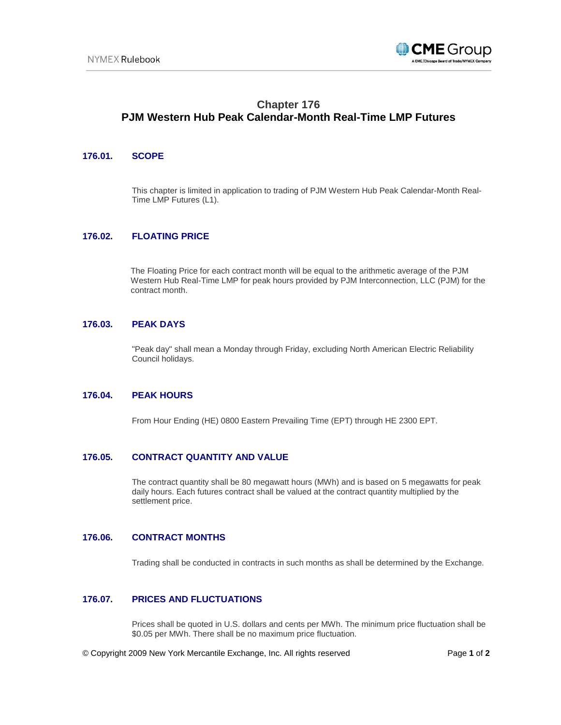

# **Chapter 176 PJM Western Hub Peak Calendar-Month Real-Time LMP Futures**

## **176.01. SCOPE**

This chapter is limited in application to trading of PJM Western Hub Peak Calendar-Month Real-Time LMP Futures (L1).

# **176.02. FLOATING PRICE**

The Floating Price for each contract month will be equal to the arithmetic average of the PJM Western Hub Real-Time LMP for peak hours provided by PJM Interconnection, LLC (PJM) for the contract month.

## **176.03. PEAK DAYS**

"Peak day" shall mean a Monday through Friday, excluding North American Electric Reliability Council holidays.

#### **176.04. PEAK HOURS**

From Hour Ending (HE) 0800 Eastern Prevailing Time (EPT) through HE 2300 EPT.

#### **176.05. CONTRACT QUANTITY AND VALUE**

The contract quantity shall be 80 megawatt hours (MWh) and is based on 5 megawatts for peak daily hours. Each futures contract shall be valued at the contract quantity multiplied by the settlement price.

## **176.06. CONTRACT MONTHS**

Trading shall be conducted in contracts in such months as shall be determined by the Exchange.

# **176.07. PRICES AND FLUCTUATIONS**

Prices shall be quoted in U.S. dollars and cents per MWh. The minimum price fluctuation shall be \$0.05 per MWh. There shall be no maximum price fluctuation.

© Copyright 2009 New York Mercantile Exchange, Inc. All rights reserved Page **1** of **2**